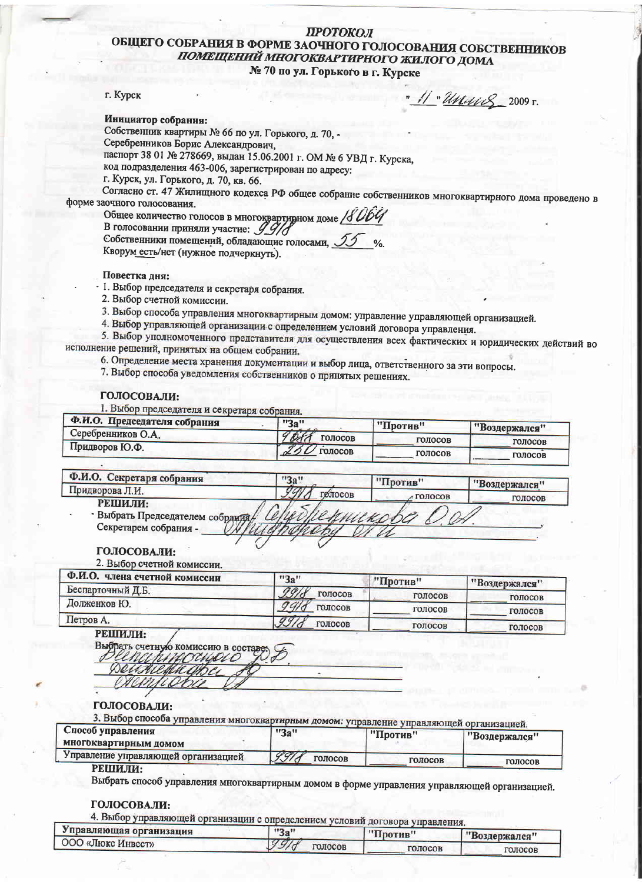# ПРОТОКОЛ ОБЩЕГО СОБРАНИЯ В ФОРМЕ ЗАОЧНОГО ГОЛОСОВАНИЯ СОБСТВЕННИКОВ ПОМЕЩЕНИЙ МНОГОКВАРТИРНОГО ЖИЛОГО ДОМА

№ 70 по ул. Горького в г. Курске

#### г. Курск

" 11 "Way 8 2009 r.

Инициатор собрания:

Собственник квартиры № 66 по ул. Горького, д. 70. -Серебренников Борис Александрович.

паспорт 38 01 № 278669, выдан 15.06.2001 г. ОМ № 6 УВД г. Курска,

код подразделения 463-006, зарегистрирован по адресу:

г. Курск, ул. Горького, д. 70, кв. 66.

Согласно ст. 47 Жилищного кодекса РФ общее собрание собственников многоквартирного дома проведено в форме заочного голосования.

Общее количество голосов в многоквартивном доме В голосовании приняли участие: 09/ Собственники помещений, обладающие голосами,

Кворум есть/нет (нужное подчеркнуть).

Повестка дня:

1. Выбор председателя и секретаря собрания.

2. Выбор счетной комиссии.

3. Выбор способа управления многоквартирным домом: управление управляющей организацией.

4. Выбор управляющей организации с определением условий договора управления.

5. Выбор уполномоченного представителя для осуществления всех фактических и юридических действий во исполнение решений, принятых на общем собрании.

- 6. Определение места хранения документации и выбор лица, ответственного за эти вопросы.
- 7. Выбор способа уведомления собственников о принятых решениях.

### ГОЛОСОВАЛИ:

1. Выбор председателя и секретаря собрания.

| , Ф.И.О. Председателя собрания | "3a"                  | "Против" | "Воздержался" |
|--------------------------------|-----------------------|----------|---------------|
| Серебренников О.А.             | off<br><b>ГОЛОСОВ</b> | голосов  | ГОЛОСОВ       |
| Придворов Ю.Ф.                 | ГОЛОСОВ               | ГОЛОСОВ  | голосов       |

| Ф.И.О. Секретаря собрания      | "3a"      | "Против" | "Воздержался" |
|--------------------------------|-----------|----------|---------------|
| Придворова Л.И.                | ГОЛОСОВ   | голосов  | голосов       |
| РЕШИЛИ:                        |           |          |               |
| Выбрать Председателем собрания | Пертикова |          |               |
|                                |           |          |               |

# ГОЛОСОВАЛИ:

2. Выбор счетной комиссии.

| . Ф.И.О. члена счетной комиссии | "3a"    | "Против" | "Воздержался" |
|---------------------------------|---------|----------|---------------|
| Беспарточный Д.Б.               | голосов | голосов  | голосов       |
| Долженков Ю.                    | голосов | голосов  | голосов       |
| Петров А.                       | голосов | голосов  | голосов       |

РЕШИЛИ:

Выбрать счетную комиссию в сост hinoa. Deunie

# ГОЛОСОВАЛИ:

3. Выбор способа управления многоквартирным домом: управление управляющей организацией.

| Спосоо управления<br>многоквартирным домом | "3a"            | "Против" | "Воздержался" |
|--------------------------------------------|-----------------|----------|---------------|
| Управление управляющей организацией        | 4971<br>ГОЛОСОВ | голосов  | голосов       |
| DE HIJ BIJ.                                |                 |          |               |

#### РЕШИЈ<u>И:</u>

Выбрать способ управления многоквартирным домом в форме управления управляющей организацией.

#### ГОЛОСОВАЛИ:

4. Выбор управляющей организации с определением условий договора управления

| Управляющая организация | "3a"    | .<br>"Против" | "Воздержался" |
|-------------------------|---------|---------------|---------------|
| ООО «Люкс Инвест»       | толосов | голосов       |               |
|                         |         |               | голосов       |